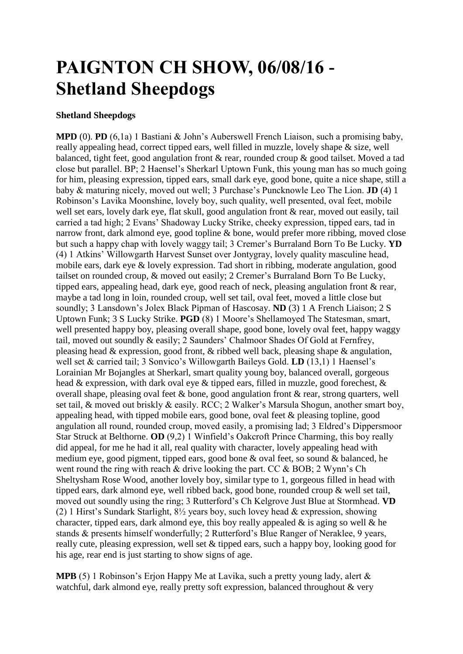## **PAIGNTON CH SHOW, 06/08/16 - Shetland Sheepdogs**

## **Shetland Sheepdogs**

**MPD** (0). **PD** (6,1a) 1 Bastiani & John's Auberswell French Liaison, such a promising baby, really appealing head, correct tipped ears, well filled in muzzle, lovely shape & size, well balanced, tight feet, good angulation front & rear, rounded croup & good tailset. Moved a tad close but parallel. BP; 2 Haensel's Sherkarl Uptown Funk, this young man has so much going for him, pleasing expression, tipped ears, small dark eye, good bone, quite a nice shape, still a baby & maturing nicely, moved out well; 3 Purchase's Puncknowle Leo The Lion. **JD** (4) 1 Robinson's Lavika Moonshine, lovely boy, such quality, well presented, oval feet, mobile well set ears, lovely dark eye, flat skull, good angulation front & rear, moved out easily, tail carried a tad high; 2 Evans' Shadoway Lucky Strike, cheeky expression, tipped ears, tad in narrow front, dark almond eye, good topline & bone, would prefer more ribbing, moved close but such a happy chap with lovely waggy tail; 3 Cremer's Burraland Born To Be Lucky. **YD** (4) 1 Atkins' Willowgarth Harvest Sunset over Jontygray, lovely quality masculine head, mobile ears, dark eye & lovely expression. Tad short in ribbing, moderate angulation, good tailset on rounded croup, & moved out easily; 2 Cremer's Burraland Born To Be Lucky, tipped ears, appealing head, dark eye, good reach of neck, pleasing angulation front & rear, maybe a tad long in loin, rounded croup, well set tail, oval feet, moved a little close but soundly; 3 Lansdown's Jolex Black Pipman of Hascosay. **ND** (3) 1 A French Liaison; 2 S Uptown Funk; 3 S Lucky Strike. **PGD** (8) 1 Moore's Shellamoyed The Statesman, smart, well presented happy boy, pleasing overall shape, good bone, lovely oval feet, happy waggy tail, moved out soundly & easily; 2 Saunders' Chalmoor Shades Of Gold at Fernfrey, pleasing head & expression, good front,  $\&$  ribbed well back, pleasing shape  $\&$  angulation, well set & carried tail; 3 Sonvico's Willowgarth Baileys Gold. **LD** (13,1) 1 Haensel's Lorainian Mr Bojangles at Sherkarl, smart quality young boy, balanced overall, gorgeous head & expression, with dark oval eye & tipped ears, filled in muzzle, good forechest, & overall shape, pleasing oval feet & bone, good angulation front & rear, strong quarters, well set tail, & moved out briskly & easily. RCC; 2 Walker's Marsula Shogun, another smart boy, appealing head, with tipped mobile ears, good bone, oval feet & pleasing topline, good angulation all round, rounded croup, moved easily, a promising lad; 3 Eldred's Dippersmoor Star Struck at Belthorne. **OD** (9,2) 1 Winfield's Oakcroft Prince Charming, this boy really did appeal, for me he had it all, real quality with character, lovely appealing head with medium eye, good pigment, tipped ears, good bone & oval feet, so sound & balanced, he went round the ring with reach  $\&$  drive looking the part. CC  $\&$  BOB; 2 Wynn's Ch Sheltysham Rose Wood, another lovely boy, similar type to 1, gorgeous filled in head with tipped ears, dark almond eye, well ribbed back, good bone, rounded croup & well set tail. moved out soundly using the ring; 3 Rutterford's Ch Kelgrove Just Blue at Stormhead. **VD** (2) 1 Hirst's Sundark Starlight, 8½ years boy, such lovey head & expression, showing character, tipped ears, dark almond eye, this boy really appealed  $\&$  is aging so well  $\&$  he stands & presents himself wonderfully; 2 Rutterford's Blue Ranger of Neraklee, 9 years, really cute, pleasing expression, well set & tipped ears, such a happy boy, looking good for his age, rear end is just starting to show signs of age.

**MPB** (5) 1 Robinson's Erjon Happy Me at Lavika, such a pretty young lady, alert & watchful, dark almond eye, really pretty soft expression, balanced throughout & very